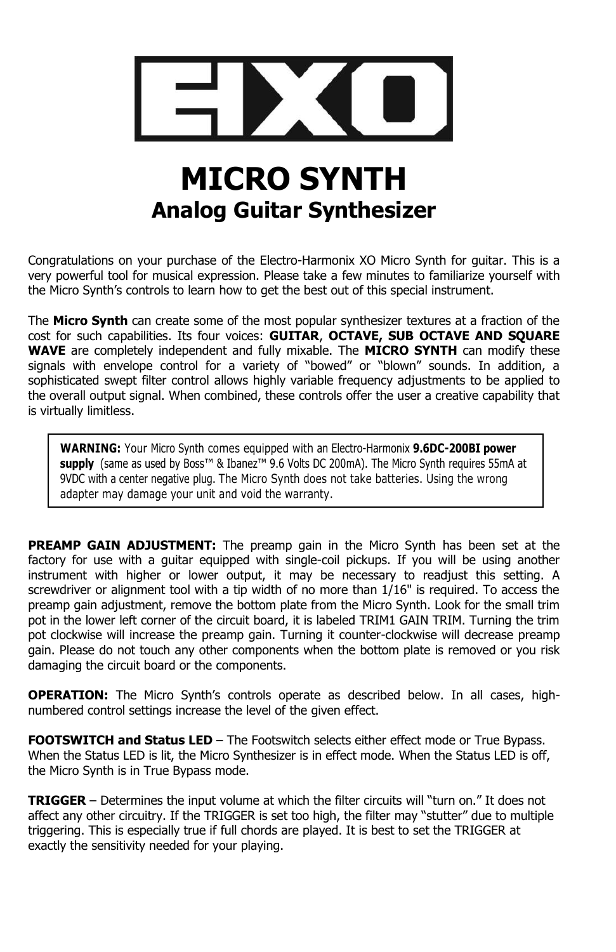

# **MICRO SYNTH Analog Guitar Synthesizer**

Congratulations on your purchase of the Electro-Harmonix XO Micro Synth for guitar. This is a very powerful tool for musical expression. Please take a few minutes to familiarize yourself with the Micro Synth's controls to learn how to get the best out of this special instrument.

The **Micro Synth** can create some of the most popular synthesizer textures at a fraction of the cost for such capabilities. Its four voices: **GUITAR**, **OCTAVE, SUB OCTAVE AND SQUARE WAVE** are completely independent and fully mixable. The **MICRO SYNTH** can modify these signals with envelope control for a variety of "bowed" or "blown" sounds. In addition, a sophisticated swept filter control allows highly variable frequency adjustments to be applied to the overall output signal. When combined, these controls offer the user a creative capability that is virtually limitless.

**WARNING:** Your Micro Synth comes equipped with an Electro-Harmonix **9.6DC-200BI power**  supply (same as used by Boss<sup>™</sup> & Ibanez<sup>™</sup> 9.6 Volts DC 200mA). The Micro Synth requires 55mA at 9VDC with a center negative plug. The Micro Synth does not take batteries. Using the wrong adapter may damage your unit and void the warranty.

**PREAMP GAIN ADJUSTMENT:** The preamp gain in the Micro Synth has been set at the factory for use with a guitar equipped with single-coil pickups. If you will be using another instrument with higher or lower output, it may be necessary to readjust this setting. A screwdriver or alignment tool with a tip width of no more than 1/16" is required. To access the preamp gain adjustment, remove the bottom plate from the Micro Synth. Look for the small trim pot in the lower left corner of the circuit board, it is labeled TRIM1 GAIN TRIM. Turning the trim pot clockwise will increase the preamp gain. Turning it counter-clockwise will decrease preamp gain. Please do not touch any other components when the bottom plate is removed or you risk damaging the circuit board or the components.

**OPERATION:** The Micro Synth's controls operate as described below. In all cases, highnumbered control settings increase the level of the given effect.

**FOOTSWITCH and Status LED** – The Footswitch selects either effect mode or True Bypass. When the Status LED is lit, the Micro Synthesizer is in effect mode. When the Status LED is off, the Micro Synth is in True Bypass mode.

**TRIGGER** – Determines the input volume at which the filter circuits will "turn on." It does not affect any other circuitry. If the TRIGGER is set too high, the filter may "stutter" due to multiple triggering. This is especially true if full chords are played. It is best to set the TRIGGER at exactly the sensitivity needed for your playing.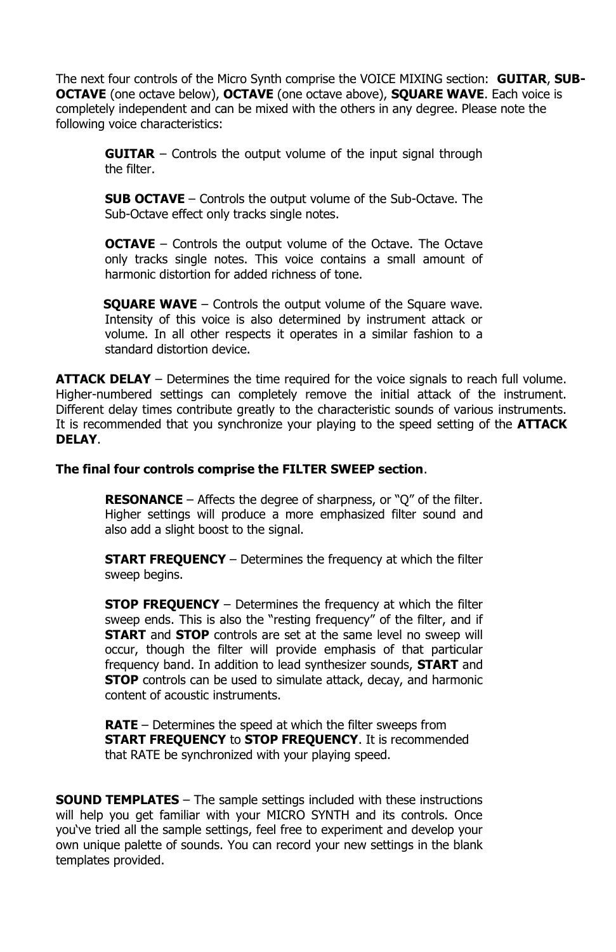The next four controls of the Micro Synth comprise the VOICE MIXING section: **GUITAR**, **SUB-OCTAVE** (one octave below), **OCTAVE** (one octave above), **SQUARE WAVE**. Each voice is completely independent and can be mixed with the others in any degree. Please note the following voice characteristics:

**GUITAR** – Controls the output volume of the input signal through the filter.

**SUB OCTAVE** – Controls the output volume of the Sub-Octave. The Sub-Octave effect only tracks single notes.

**OCTAVE** – Controls the output volume of the Octave. The Octave only tracks single notes. This voice contains a small amount of harmonic distortion for added richness of tone.

**SQUARE WAVE** – Controls the output volume of the Square wave. Intensity of this voice is also determined by instrument attack or volume. In all other respects it operates in a similar fashion to a standard distortion device.

**ATTACK DELAY** – Determines the time required for the voice signals to reach full volume. Higher-numbered settings can completely remove the initial attack of the instrument. Different delay times contribute greatly to the characteristic sounds of various instruments. It is recommended that you synchronize your playing to the speed setting of the **ATTACK DELAY**.

### **The final four controls comprise the FILTER SWEEP section**.

**RESONANCE** – Affects the degree of sharpness, or "Q" of the filter. Higher settings will produce a more emphasized filter sound and also add a slight boost to the signal.

**START FREQUENCY** – Determines the frequency at which the filter sweep begins.

**STOP FREQUENCY** – Determines the frequency at which the filter sweep ends. This is also the "resting frequency" of the filter, and if **START** and **STOP** controls are set at the same level no sweep will occur, though the filter will provide emphasis of that particular frequency band. In addition to lead synthesizer sounds, **START** and **STOP** controls can be used to simulate attack, decay, and harmonic content of acoustic instruments.

**RATE** – Determines the speed at which the filter sweeps from **START FREQUENCY** to **STOP FREQUENCY**. It is recommended that RATE be synchronized with your playing speed.

**SOUND TEMPLATES** – The sample settings included with these instructions will help you get familiar with your MICRO SYNTH and its controls. Once you've tried all the sample settings, feel free to experiment and develop your own unique palette of sounds. You can record your new settings in the blank templates provided.